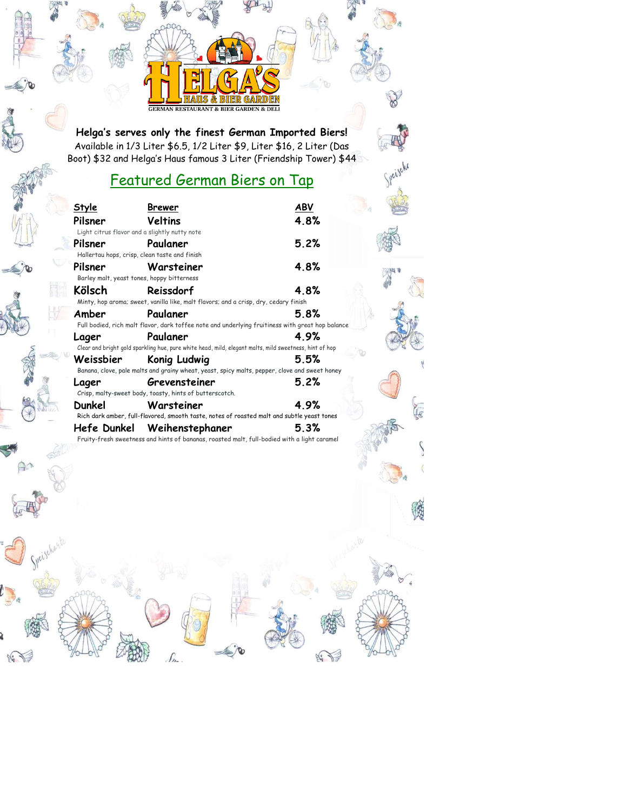**Helga's serves only the finest German Imported Biers!** Available in 1/3 Liter \$6.5, 1/2 Liter \$9, Liter \$16, 2 Liter (Das Boot) \$32 and Helga's Haus famous 3 Liter (Friendship Tower) \$44

**GERMAN RESTAURANT & BIER GARDEN & DELI** 

#### Featured German Biers on Tap

Speiscke

LE

| Style       | Brewer                                                                                                             | ABV  |
|-------------|--------------------------------------------------------------------------------------------------------------------|------|
| Pilsner     | Veltins<br>Light citrus flavor and a slightly nutty note                                                           | 4.8% |
| Pilsner     | Paulaner<br>Hallertau hops, crisp, clean taste and finish                                                          | 5.2% |
| Pilsner     | Warsteiner<br>Barley malt, yeast tones, hoppy bitterness                                                           | 4.8% |
| Kölsch      | Reissdorf<br>Minty, hop aroma; sweet, vanilla like, malt flavors; and a crisp, dry, cedary finish                  | 4.8% |
| Amber       | Paulaner<br>Full bodied, rich malt flavor, dark toffee note and underlying fruitiness with great hop balance       | 5.8% |
| Lager       | Paulaner<br>Clear and bright gold sparkling hue, pure white head, mild, elegant malts, mild sweetness, hint of hop | 4.9% |
| Weissbier   | Konig Ludwig<br>Banana, clove, pale malts and grainy wheat, yeast, spicy malts, pepper, clove and sweet honey      | 5.5% |
| Lager       | Grevensteiner<br>Crisp, malty-sweet body, toasty, hints of butterscotch.                                           | 5.2% |
| Dunkel      | Warsteiner<br>Rich dark amber, full-flavored, smooth taste, notes of roasted malt and subtle yeast tones           | 4.9% |
| Hefe Dunkel | Weihenstephaner<br>Fruity-fresh sweetness and hints of bananas, roasted malt, full-bodied with a light caramel     | 5.3% |

ſn.



 $\frac{1}{2}$ 



Speischagte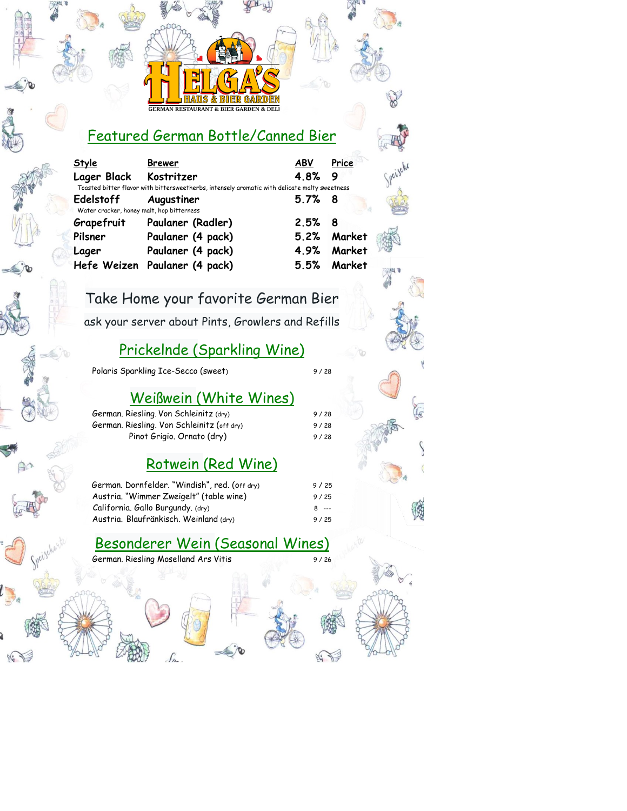# Featured German Bottle/Canned Bier

fo

| Style<br>Lager Black Kostritzer                        | <b>Brewer</b>                                                                                 | ABV<br>48% | Price<br>9  |
|--------------------------------------------------------|-----------------------------------------------------------------------------------------------|------------|-------------|
|                                                        | Toasted bitter flavor with bittersweetherbs, intensely aromatic with delicate malty sweetness |            |             |
| Edelstoff<br>Water cracker, honey malt, hop bitterness | Augustiner                                                                                    | $5.7%$ 8   |             |
| Grapefruit                                             | Paulaner (Radler)                                                                             | 2.5%       | - 8         |
| Pilsner                                                | Paulaner (4 pack)                                                                             |            | 5.2% Market |
| Lager                                                  | Paulaner (4 pack)                                                                             | 4.9%       | Market      |
|                                                        | Hefe Weizen Paulaner (4 pack)                                                                 |            | 5.5% Market |
|                                                        |                                                                                               |            |             |

Take Home your favorite German Bier

ask your server about Pints, Growlers and Refills

## Prickelnde (Sparkling Wine)

Polaris Sparkling Ice-Secco (sweet) 9/28

## Weißwein (White Wines)

German. Riesling. Von Schleinitz (dry) 9/28 German. Riesling. Von Schleinitz (off dry) 9/28 Pinot Grigio. Ornato (dry) 9/28

#### Rotwein (Red Wine)

| German, Dornfelder, "Windish", red. (off dry) | 9/25    |
|-----------------------------------------------|---------|
| Austria. "Wimmer Zweigelt" (table wine)       | 9/25    |
| California. Gallo Burgundy. (dry)             | $8 - -$ |
| Austria, Blaufränkisch, Weinland (dry)        | 9/25    |

#### Besonderer Wein (Seasonal Wines)

German. Riesling Moselland Ars Vitis 9/26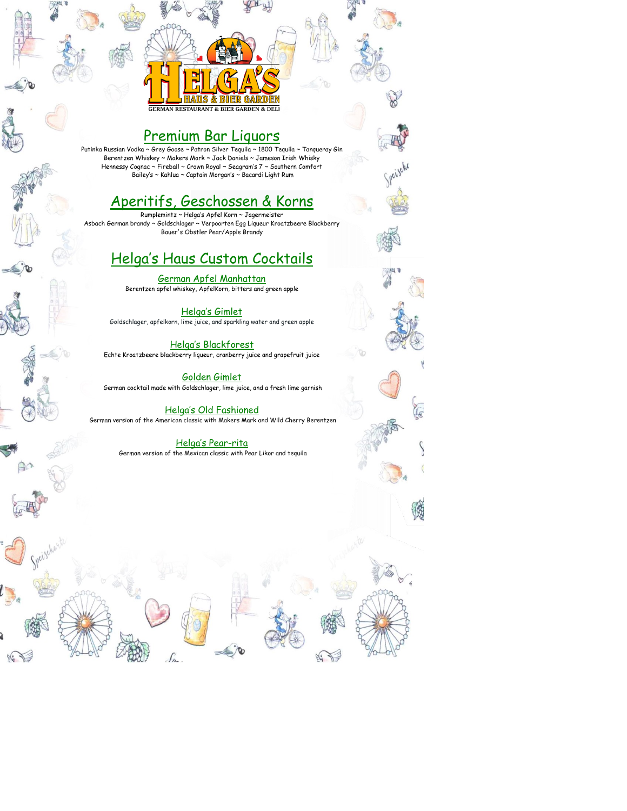### Premium Bar Liquors

**BIER GARDEN & DELI** 

Putinka Russian Vodka ~ Grey Goose ~ Patron Silver Tequila ~ 1800 Tequila ~ Tanqueray Gin Berentzen Whiskey ~ Makers Mark ~ Jack Daniels ~ Jameson Irish Whisky Hennessy Cognac ~ Fireball ~ Crown Royal ~ Seagram's 7 ~ Southern Comfort Bailey's ~ Kahlua ~ Captain Morgan's ~ Bacardi Light Rum

#### Aperitifs, Geschossen & Korns

Rumplemintz ~ Helga's Apfel Korn ~ Jagermeister Asbach German brandy ~ Goldschlager ~ Verpoorten Egg Liqueur Kroatzbeere Blackberry Bauer's Obstler Pear/Apple Brandy

### Helga's Haus Custom Cocktails

German Apfel Manhattan Berentzen apfel whiskey, ApfelKorn, bitters and green apple

Helga's Gimlet Goldschlager, apfelkorn, lime juice, and sparkling water and green apple

#### Helga's Blackforest Echte Kroatzbeere blackberry liqueur, cranberry juice and grapefruit juice

Golden Gimlet German cocktail made with Goldschlager, lime juice, and a fresh lime garnish

#### Helga's Old Fashioned

German version of the American classic with Makers Mark and Wild Cherry Berentzen

#### Helga's Pear-rita

German version of the Mexican classic with Pear Likor and tequila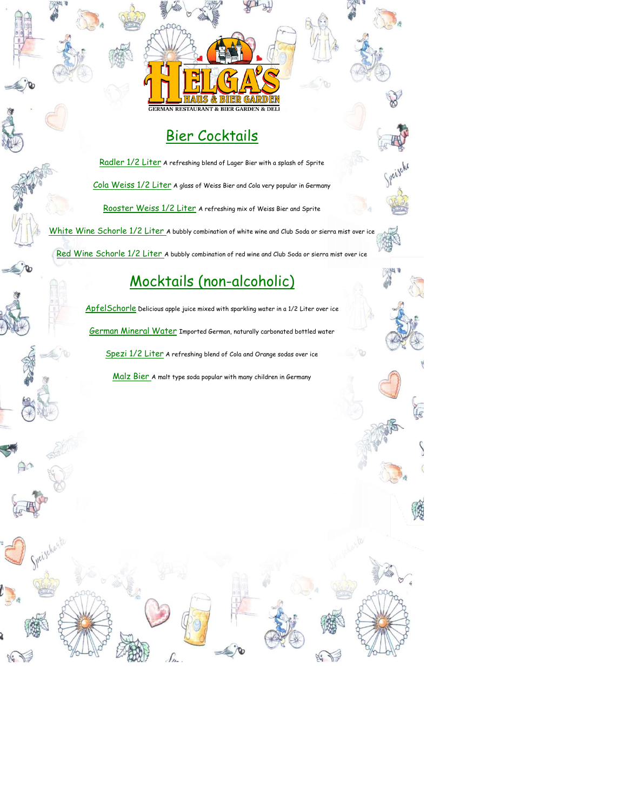

# Bier Cocktails



Speischarte

Radler 1/2 Liter A refreshing blend of Lager Bier with a splash of Sprite Cola Weiss 1/2 Liter A glass of Weiss Bier and Cola very popular in Germany Rooster Weiss 1/2 Liter A refreshing mix of Weiss Bier and Sprite

h<mark>ite Wine Schorle 1/2 Liter</mark> A bubbly combination of white wine and Club Soda or sierra mist over ice Red Wine Schorle 1/2 Liter A bubbly combination of red wine and Club Soda or sierra mist over ice

# Mocktails (non-alcoholic)

ApfelSchorle Delicious apple juice mixed with sparkling water in a 1/2 Liter over ice German Mineral Water Imported German, naturally carbonated bottled water Spezi 1/2 Liter A refreshing blend of Cola and Orange sodas over ice

Malz Bier A malt type soda popular with many children in Germany

י<br>תו